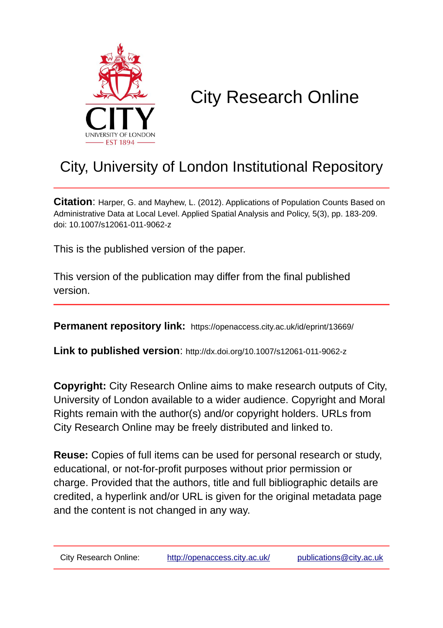

# City Research Online

## City, University of London Institutional Repository

**Citation**: Harper, G. and Mayhew, L. (2012). Applications of Population Counts Based on Administrative Data at Local Level. Applied Spatial Analysis and Policy, 5(3), pp. 183-209. doi: 10.1007/s12061-011-9062-z

This is the published version of the paper.

This version of the publication may differ from the final published version.

**Permanent repository link:** https://openaccess.city.ac.uk/id/eprint/13669/

**Link to published version**: http://dx.doi.org/10.1007/s12061-011-9062-z

**Copyright:** City Research Online aims to make research outputs of City, University of London available to a wider audience. Copyright and Moral Rights remain with the author(s) and/or copyright holders. URLs from City Research Online may be freely distributed and linked to.

**Reuse:** Copies of full items can be used for personal research or study, educational, or not-for-profit purposes without prior permission or charge. Provided that the authors, title and full bibliographic details are credited, a hyperlink and/or URL is given for the original metadata page and the content is not changed in any way.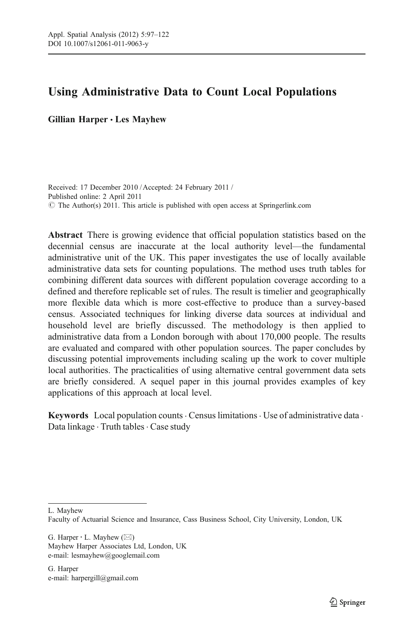### Using Administrative Data to Count Local Populations

Gillian Harper · Les Mayhew

Received: 17 December 2010 / Accepted: 24 February 2011 / Published online: 2 April 2011  $\odot$  The Author(s) 2011. This article is published with open access at Springerlink.com

Abstract There is growing evidence that official population statistics based on the decennial census are inaccurate at the local authority level—the fundamental administrative unit of the UK. This paper investigates the use of locally available administrative data sets for counting populations. The method uses truth tables for combining different data sources with different population coverage according to a defined and therefore replicable set of rules. The result is timelier and geographically more flexible data which is more cost-effective to produce than a survey-based census. Associated techniques for linking diverse data sources at individual and household level are briefly discussed. The methodology is then applied to administrative data from a London borough with about 170,000 people. The results are evaluated and compared with other population sources. The paper concludes by discussing potential improvements including scaling up the work to cover multiple local authorities. The practicalities of using alternative central government data sets are briefly considered. A sequel paper in this journal provides examples of key applications of this approach at local level.

**Keywords** Local population counts  $\cdot$  Census limitations  $\cdot$  Use of administrative data  $\cdot$ Data linkage · Truth tables · Case study

L. Mayhew

Faculty of Actuarial Science and Insurance, Cass Business School, City University, London, UK

G. Harper  $\cdot$  L. Mayhew ( $\boxtimes$ ) Mayhew Harper Associates Ltd, London, UK e-mail: lesmayhew@googlemail.com

G. Harper e-mail: harpergill@gmail.com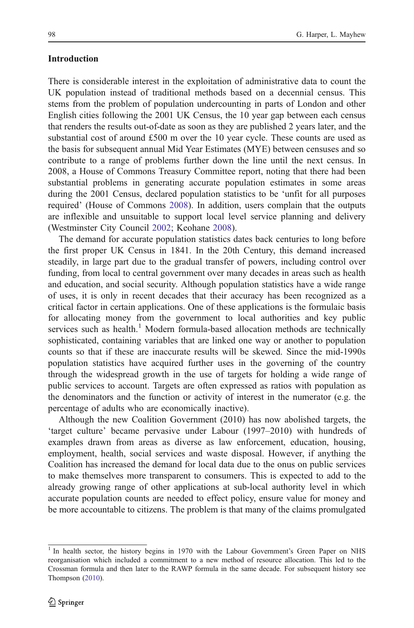There is considerable interest in the exploitation of administrative data to count the UK population instead of traditional methods based on a decennial census. This stems from the problem of population undercounting in parts of London and other English cities following the 2001 UK Census, the 10 year gap between each census that renders the results out-of-date as soon as they are published 2 years later, and the substantial cost of around £500 m over the 10 year cycle. These counts are used as the basis for subsequent annual Mid Year Estimates (MYE) between censuses and so contribute to a range of problems further down the line until the next census. In 2008, a House of Commons Treasury Committee report, noting that there had been substantial problems in generating accurate population estimates in some areas during the 2001 Census, declared population statistics to be 'unfit for all purposes required' (House of Commons [2008\)](#page-26-0). In addition, users complain that the outputs are inflexible and unsuitable to support local level service planning and delivery (Westminster City Council [2002;](#page-26-0) Keohane [2008](#page-26-0)).

The demand for accurate population statistics dates back centuries to long before the first proper UK Census in 1841. In the 20th Century, this demand increased steadily, in large part due to the gradual transfer of powers, including control over funding, from local to central government over many decades in areas such as health and education, and social security. Although population statistics have a wide range of uses, it is only in recent decades that their accuracy has been recognized as a critical factor in certain applications. One of these applications is the formulaic basis for allocating money from the government to local authorities and key public services such as health.<sup>1</sup> Modern formula-based allocation methods are technically sophisticated, containing variables that are linked one way or another to population counts so that if these are inaccurate results will be skewed. Since the mid-1990s population statistics have acquired further uses in the governing of the country through the widespread growth in the use of targets for holding a wide range of public services to account. Targets are often expressed as ratios with population as the denominators and the function or activity of interest in the numerator (e.g. the percentage of adults who are economically inactive).

Although the new Coalition Government (2010) has now abolished targets, the 'target culture' became pervasive under Labour (1997–2010) with hundreds of examples drawn from areas as diverse as law enforcement, education, housing, employment, health, social services and waste disposal. However, if anything the Coalition has increased the demand for local data due to the onus on public services to make themselves more transparent to consumers. This is expected to add to the already growing range of other applications at sub-local authority level in which accurate population counts are needed to effect policy, ensure value for money and be more accountable to citizens. The problem is that many of the claims promulgated

<sup>&</sup>lt;sup>1</sup> In health sector, the history begins in 1970 with the Labour Government's Green Paper on NHS reorganisation which included a commitment to a new method of resource allocation. This led to the Crossman formula and then later to the RAWP formula in the same decade. For subsequent history see Thompson [\(2010\)](#page-26-0).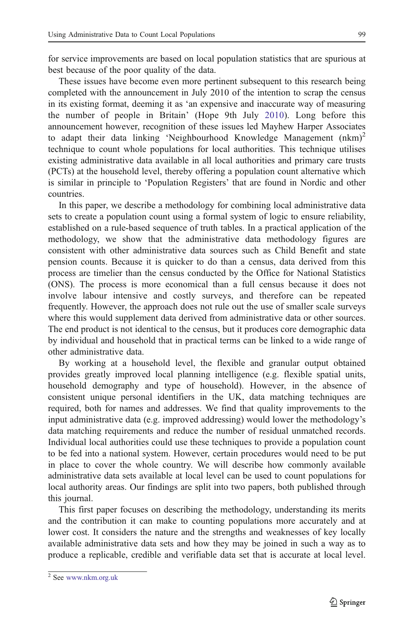for service improvements are based on local population statistics that are spurious at best because of the poor quality of the data.

These issues have become even more pertinent subsequent to this research being completed with the announcement in July 2010 of the intention to scrap the census in its existing format, deeming it as 'an expensive and inaccurate way of measuring the number of people in Britain' (Hope 9th July [2010\)](#page-26-0). Long before this announcement however, recognition of these issues led Mayhew Harper Associates to adapt their data linking 'Neighbourhood Knowledge Management  $(nkm)^2$ technique to count whole populations for local authorities. This technique utilises existing administrative data available in all local authorities and primary care trusts (PCTs) at the household level, thereby offering a population count alternative which is similar in principle to 'Population Registers' that are found in Nordic and other countries.

In this paper, we describe a methodology for combining local administrative data sets to create a population count using a formal system of logic to ensure reliability, established on a rule-based sequence of truth tables. In a practical application of the methodology, we show that the administrative data methodology figures are consistent with other administrative data sources such as Child Benefit and state pension counts. Because it is quicker to do than a census, data derived from this process are timelier than the census conducted by the Office for National Statistics (ONS). The process is more economical than a full census because it does not involve labour intensive and costly surveys, and therefore can be repeated frequently. However, the approach does not rule out the use of smaller scale surveys where this would supplement data derived from administrative data or other sources. The end product is not identical to the census, but it produces core demographic data by individual and household that in practical terms can be linked to a wide range of other administrative data.

By working at a household level, the flexible and granular output obtained provides greatly improved local planning intelligence (e.g. flexible spatial units, household demography and type of household). However, in the absence of consistent unique personal identifiers in the UK, data matching techniques are required, both for names and addresses. We find that quality improvements to the input administrative data (e.g. improved addressing) would lower the methodology's data matching requirements and reduce the number of residual unmatched records. Individual local authorities could use these techniques to provide a population count to be fed into a national system. However, certain procedures would need to be put in place to cover the whole country. We will describe how commonly available administrative data sets available at local level can be used to count populations for local authority areas. Our findings are split into two papers, both published through this journal.

This first paper focuses on describing the methodology, understanding its merits and the contribution it can make to counting populations more accurately and at lower cost. It considers the nature and the strengths and weaknesses of key locally available administrative data sets and how they may be joined in such a way as to produce a replicable, credible and verifiable data set that is accurate at local level.

<sup>2</sup> See [www.nkm.org.uk](http://www.nkm.org.uk)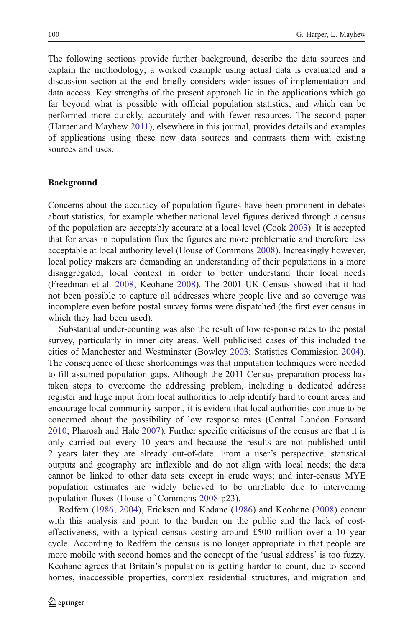The following sections provide further background, describe the data sources and explain the methodology; a worked example using actual data is evaluated and a discussion section at the end briefly considers wider issues of implementation and data access. Key strengths of the present approach lie in the applications which go far beyond what is possible with official population statistics, and which can be performed more quickly, accurately and with fewer resources. The second paper (Harper and Mayhew [2011](#page-26-0)), elsewhere in this journal, provides details and examples of applications using these new data sources and contrasts them with existing sources and uses.

#### Background

Concerns about the accuracy of population figures have been prominent in debates about statistics, for example whether national level figures derived through a census of the population are acceptably accurate at a local level (Cook [2003\)](#page-25-0). It is accepted that for areas in population flux the figures are more problematic and therefore less acceptable at local authority level (House of Commons [2008](#page-26-0)). Increasingly however, local policy makers are demanding an understanding of their populations in a more disaggregated, local context in order to better understand their local needs (Freedman et al. [2008](#page-25-0); Keohane [2008\)](#page-26-0). The 2001 UK Census showed that it had not been possible to capture all addresses where people live and so coverage was incomplete even before postal survey forms were dispatched (the first ever census in which they had been used).

Substantial under-counting was also the result of low response rates to the postal survey, particularly in inner city areas. Well publicised cases of this included the cities of Manchester and Westminster (Bowley [2003](#page-25-0); Statistics Commission [2004\)](#page-26-0). The consequence of these shortcomings was that imputation techniques were needed to fill assumed population gaps. Although the 2011 Census preparation process has taken steps to overcome the addressing problem, including a dedicated address register and huge input from local authorities to help identify hard to count areas and encourage local community support, it is evident that local authorities continue to be concerned about the possibility of low response rates (Central London Forward [2010;](#page-25-0) Pharoah and Hale [2007\)](#page-26-0). Further specific criticisms of the census are that it is only carried out every 10 years and because the results are not published until 2 years later they are already out-of-date. From a user's perspective, statistical outputs and geography are inflexible and do not align with local needs; the data cannot be linked to other data sets except in crude ways; and inter-census MYE population estimates are widely believed to be unreliable due to intervening population fluxes (House of Commons [2008](#page-26-0) p23).

Redfern ([1986,](#page-26-0) [2004\)](#page-26-0), Ericksen and Kadane [\(1986](#page-25-0)) and Keohane ([2008\)](#page-26-0) concur with this analysis and point to the burden on the public and the lack of costeffectiveness, with a typical census costing around £500 million over a 10 year cycle. According to Redfern the census is no longer appropriate in that people are more mobile with second homes and the concept of the 'usual address' is too fuzzy. Keohane agrees that Britain's population is getting harder to count, due to second homes, inaccessible properties, complex residential structures, and migration and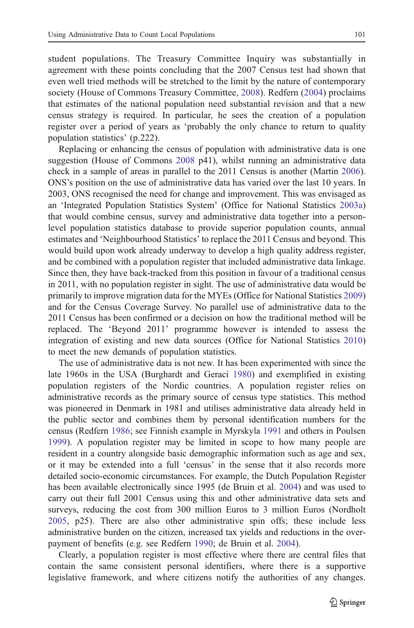student populations. The Treasury Committee Inquiry was substantially in agreement with these points concluding that the 2007 Census test had shown that even well tried methods will be stretched to the limit by the nature of contemporary society (House of Commons Treasury Committee, [2008](#page-26-0)). Redfern ([2004](#page-26-0)) proclaims that estimates of the national population need substantial revision and that a new census strategy is required. In particular, he sees the creation of a population register over a period of years as 'probably the only chance to return to quality population statistics' (p.222).

Replacing or enhancing the census of population with administrative data is one suggestion (House of Commons [2008](#page-26-0) p41), whilst running an administrative data check in a sample of areas in parallel to the 2011 Census is another (Martin [2006\)](#page-26-0). ONS's position on the use of administrative data has varied over the last 10 years. In 2003, ONS recognised the need for change and improvement. This was envisaged as an 'Integrated Population Statistics System' (Office for National Statistics [2003a](#page-26-0)) that would combine census, survey and administrative data together into a personlevel population statistics database to provide superior population counts, annual estimates and 'Neighbourhood Statistics' to replace the 2011 Census and beyond. This would build upon work already underway to develop a high quality address register, and be combined with a population register that included administrative data linkage. Since then, they have back-tracked from this position in favour of a traditional census in 2011, with no population register in sight. The use of administrative data would be primarily to improve migration data for the MYEs (Office for National Statistics [2009](#page-26-0)) and for the Census Coverage Survey. No parallel use of administrative data to the 2011 Census has been confirmed or a decision on how the traditional method will be replaced. The 'Beyond 2011' programme however is intended to assess the integration of existing and new data sources (Office for National Statistics [2010](#page-26-0)) to meet the new demands of population statistics.

The use of administrative data is not new. It has been experimented with since the late 1960s in the USA (Burghardt and Geraci [1980](#page-25-0)) and exemplified in existing population registers of the Nordic countries. A population register relies on administrative records as the primary source of census type statistics. This method was pioneered in Denmark in 1981 and utilises administrative data already held in the public sector and combines them by personal identification numbers for the census (Redfern [1986](#page-26-0); see Finnish example in Myrskyla [1991](#page-26-0) and others in Poulsen [1999\)](#page-26-0). A population register may be limited in scope to how many people are resident in a country alongside basic demographic information such as age and sex, or it may be extended into a full 'census' in the sense that it also records more detailed socio-economic circumstances. For example, the Dutch Population Register has been available electronically since 1995 (de Bruin et al. [2004\)](#page-25-0) and was used to carry out their full 2001 Census using this and other administrative data sets and surveys, reducing the cost from 300 million Euros to 3 million Euros (Nordholt [2005,](#page-26-0) p25). There are also other administrative spin offs; these include less administrative burden on the citizen, increased tax yields and reductions in the overpayment of benefits (e.g. see Redfern [1990](#page-26-0); de Bruin et al. [2004\)](#page-25-0).

Clearly, a population register is most effective where there are central files that contain the same consistent personal identifiers, where there is a supportive legislative framework, and where citizens notify the authorities of any changes.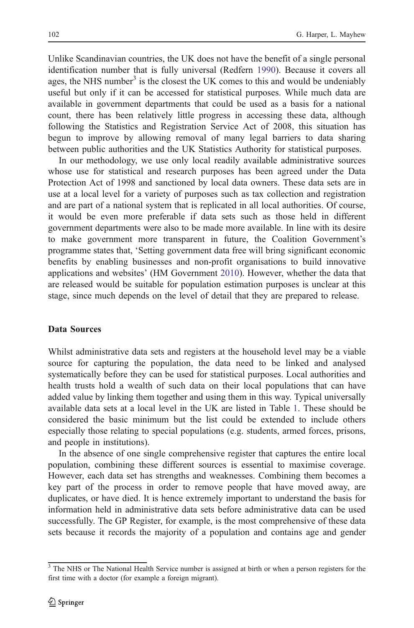Unlike Scandinavian countries, the UK does not have the benefit of a single personal identification number that is fully universal (Redfern [1990\)](#page-26-0). Because it covers all ages, the NHS number<sup>3</sup> is the closest the UK comes to this and would be undeniably useful but only if it can be accessed for statistical purposes. While much data are available in government departments that could be used as a basis for a national count, there has been relatively little progress in accessing these data, although following the Statistics and Registration Service Act of 2008, this situation has begun to improve by allowing removal of many legal barriers to data sharing between public authorities and the UK Statistics Authority for statistical purposes.

In our methodology, we use only local readily available administrative sources whose use for statistical and research purposes has been agreed under the Data Protection Act of 1998 and sanctioned by local data owners. These data sets are in use at a local level for a variety of purposes such as tax collection and registration and are part of a national system that is replicated in all local authorities. Of course, it would be even more preferable if data sets such as those held in different government departments were also to be made more available. In line with its desire to make government more transparent in future, the Coalition Government's programme states that, 'Setting government data free will bring significant economic benefits by enabling businesses and non-profit organisations to build innovative applications and websites' (HM Government [2010](#page-26-0)). However, whether the data that are released would be suitable for population estimation purposes is unclear at this stage, since much depends on the level of detail that they are prepared to release.

#### Data Sources

Whilst administrative data sets and registers at the household level may be a viable source for capturing the population, the data need to be linked and analysed systematically before they can be used for statistical purposes. Local authorities and health trusts hold a wealth of such data on their local populations that can have added value by linking them together and using them in this way. Typical universally available data sets at a local level in the UK are listed in Table [1](#page-7-0). These should be considered the basic minimum but the list could be extended to include others especially those relating to special populations (e.g. students, armed forces, prisons, and people in institutions).

In the absence of one single comprehensive register that captures the entire local population, combining these different sources is essential to maximise coverage. However, each data set has strengths and weaknesses. Combining them becomes a key part of the process in order to remove people that have moved away, are duplicates, or have died. It is hence extremely important to understand the basis for information held in administrative data sets before administrative data can be used successfully. The GP Register, for example, is the most comprehensive of these data sets because it records the majority of a population and contains age and gender

<sup>&</sup>lt;sup>3</sup> The NHS or The National Health Service number is assigned at birth or when a person registers for the first time with a doctor (for example a foreign migrant).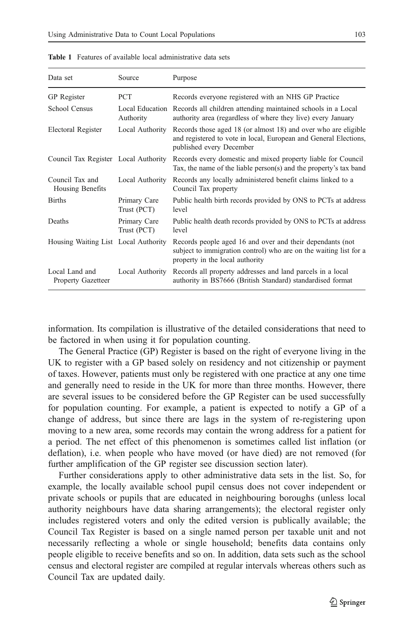| Data set                                    | Source                      | Purpose                                                                                                                                                           |
|---------------------------------------------|-----------------------------|-------------------------------------------------------------------------------------------------------------------------------------------------------------------|
| GP Register                                 | <b>PCT</b>                  | Records everyone registered with an NHS GP Practice                                                                                                               |
| School Census                               | Authority                   | Local Education Records all children attending maintained schools in a Local<br>authority area (regardless of where they live) every January                      |
| Electoral Register                          | Local Authority             | Records those aged 18 (or almost 18) and over who are eligible<br>and registered to vote in local, European and General Elections,<br>published every December    |
| Council Tax Register Local Authority        |                             | Records every domestic and mixed property liable for Council<br>Tax, the name of the liable person(s) and the property's tax band                                 |
| Council Tax and<br>Housing Benefits         | Local Authority             | Records any locally administered benefit claims linked to a<br>Council Tax property                                                                               |
| <b>Births</b>                               | Primary Care<br>Trust (PCT) | Public health birth records provided by ONS to PCTs at address<br>level                                                                                           |
| Deaths                                      | Primary Care<br>Trust (PCT) | Public health death records provided by ONS to PCTs at address<br>level                                                                                           |
| Housing Waiting List Local Authority        |                             | Records people aged 16 and over and their dependants (not<br>subject to immigration control) who are on the waiting list for a<br>property in the local authority |
| Local Land and<br><b>Property Gazetteer</b> | Local Authority             | Records all property addresses and land parcels in a local<br>authority in BS7666 (British Standard) standardised format                                          |

<span id="page-7-0"></span>Table 1 Features of available local administrative data sets

information. Its compilation is illustrative of the detailed considerations that need to be factored in when using it for population counting.

The General Practice (GP) Register is based on the right of everyone living in the UK to register with a GP based solely on residency and not citizenship or payment of taxes. However, patients must only be registered with one practice at any one time and generally need to reside in the UK for more than three months. However, there are several issues to be considered before the GP Register can be used successfully for population counting. For example, a patient is expected to notify a GP of a change of address, but since there are lags in the system of re-registering upon moving to a new area, some records may contain the wrong address for a patient for a period. The net effect of this phenomenon is sometimes called list inflation (or deflation), i.e. when people who have moved (or have died) are not removed (for further amplification of the GP register see discussion section later).

Further considerations apply to other administrative data sets in the list. So, for example, the locally available school pupil census does not cover independent or private schools or pupils that are educated in neighbouring boroughs (unless local authority neighbours have data sharing arrangements); the electoral register only includes registered voters and only the edited version is publically available; the Council Tax Register is based on a single named person per taxable unit and not necessarily reflecting a whole or single household; benefits data contains only people eligible to receive benefits and so on. In addition, data sets such as the school census and electoral register are compiled at regular intervals whereas others such as Council Tax are updated daily.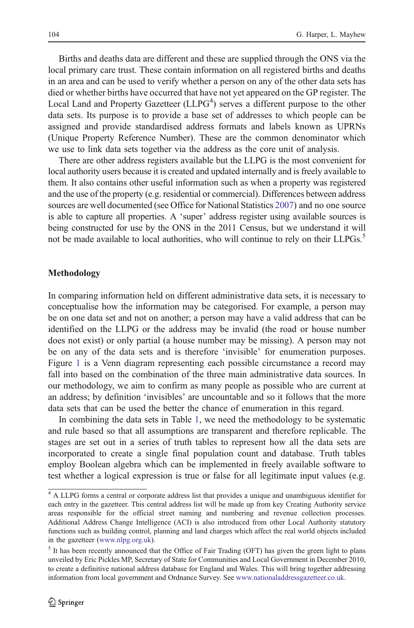Births and deaths data are different and these are supplied through the ONS via the local primary care trust. These contain information on all registered births and deaths in an area and can be used to verify whether a person on any of the other data sets has died or whether births have occurred that have not yet appeared on the GP register. The Local Land and Property Gazetteer  $(LLPG<sup>4</sup>)$  serves a different purpose to the other data sets. Its purpose is to provide a base set of addresses to which people can be assigned and provide standardised address formats and labels known as UPRNs (Unique Property Reference Number). These are the common denominator which we use to link data sets together via the address as the core unit of analysis.

There are other address registers available but the LLPG is the most convenient for local authority users because it is created and updated internally and is freely available to them. It also contains other useful information such as when a property was registered and the use of the property (e.g. residential or commercial). Differences between address sources are well documented (see Office for National Statistics [2007\)](#page-26-0) and no one source is able to capture all properties. A 'super' address register using available sources is being constructed for use by the ONS in the 2011 Census, but we understand it will not be made available to local authorities, who will continue to rely on their LLPGs.<sup>5</sup>

#### Methodology

In comparing information held on different administrative data sets, it is necessary to conceptualise how the information may be categorised. For example, a person may be on one data set and not on another; a person may have a valid address that can be identified on the LLPG or the address may be invalid (the road or house number does not exist) or only partial (a house number may be missing). A person may not be on any of the data sets and is therefore 'invisible' for enumeration purposes. Figure [1](#page-9-0) is a Venn diagram representing each possible circumstance a record may fall into based on the combination of the three main administrative data sources. In our methodology, we aim to confirm as many people as possible who are current at an address; by definition 'invisibles' are uncountable and so it follows that the more data sets that can be used the better the chance of enumeration in this regard.

In combining the data sets in Table [1,](#page-7-0) we need the methodology to be systematic and rule based so that all assumptions are transparent and therefore replicable. The stages are set out in a series of truth tables to represent how all the data sets are incorporated to create a single final population count and database. Truth tables employ Boolean algebra which can be implemented in freely available software to test whether a logical expression is true or false for all legitimate input values (e.g.

<sup>&</sup>lt;sup>4</sup> A LLPG forms a central or corporate address list that provides a unique and unambiguous identifier for each entry in the gazetteer. This central address list will be made up from key Creating Authority service areas responsible for the official street naming and numbering and revenue collection processes. Additional Address Change Intelligence (ACI) is also introduced from other Local Authority statutory functions such as building control, planning and land charges which affect the real world objects included in the gazetteer [\(www.nlpg.org.uk](http://www.nlpg.org.uk)).

<sup>&</sup>lt;sup>5</sup> It has been recently announced that the Office of Fair Trading (OFT) has given the green light to plans unveiled by Eric Pickles MP, Secretary of State for Communities and Local Government in December 2010, to create a definitive national address database for England and Wales. This will bring together addressing information from local government and Ordnance Survey. See <www.nationaladdressgazetteer.co.uk>.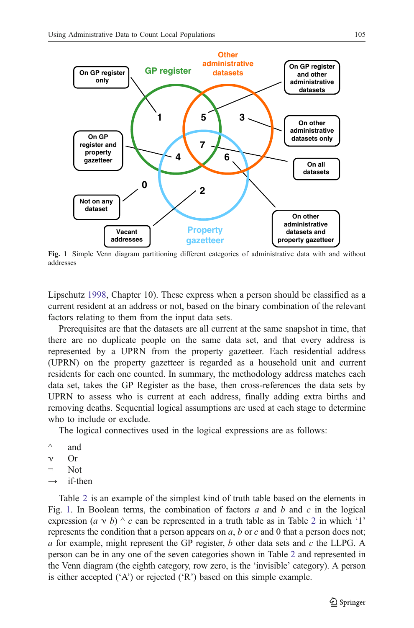<span id="page-9-0"></span>

Fig. 1 Simple Venn diagram partitioning different categories of administrative data with and without addresses

Lipschutz [1998,](#page-26-0) Chapter 10). These express when a person should be classified as a current resident at an address or not, based on the binary combination of the relevant factors relating to them from the input data sets.

Prerequisites are that the datasets are all current at the same snapshot in time, that there are no duplicate people on the same data set, and that every address is represented by a UPRN from the property gazetteer. Each residential address (UPRN) on the property gazetteer is regarded as a household unit and current residents for each one counted. In summary, the methodology address matches each data set, takes the GP Register as the base, then cross-references the data sets by UPRN to assess who is current at each address, finally adding extra births and removing deaths. Sequential logical assumptions are used at each stage to determine who to include or exclude.

The logical connectives used in the logical expressions are as follows:

- $^{\wedge}$  and
- ν Or
- ¬ Not
- if-then

Table [2](#page-10-0) is an example of the simplest kind of truth table based on the elements in Fig. 1. In Boolean terms, the combination of factors  $a$  and  $b$  and  $c$  in the logical expression (a  $\nu$  b)  $\wedge$  c can be represented in a truth table as in Table [2](#page-10-0) in which '1' represents the condition that a person appears on  $a, b$  or  $c$  and 0 that a person does not; a for example, might represent the GP register,  $b$  other data sets and  $c$  the LLPG. A person can be in any one of the seven categories shown in Table [2](#page-10-0) and represented in the Venn diagram (the eighth category, row zero, is the 'invisible' category). A person is either accepted ('A') or rejected ('R') based on this simple example.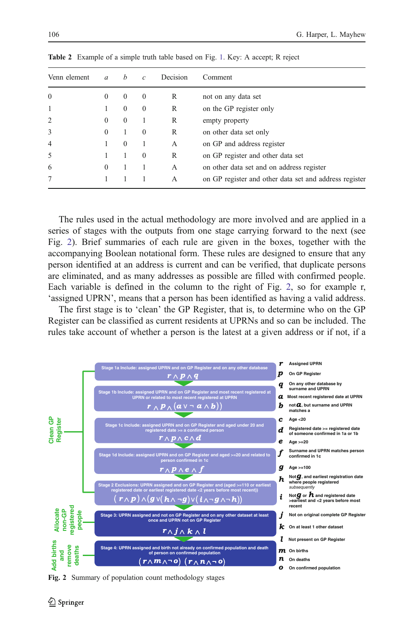| Venn element   | $\alpha$ | h            | $\mathcal{C}$ | Decision | Comment                                                |
|----------------|----------|--------------|---------------|----------|--------------------------------------------------------|
| $\Omega$       | $\left($ | $\Omega$     | $\Omega$      | R        | not on any data set                                    |
| $\mathbf{1}$   |          | $\mathbf{0}$ | $\mathbf{0}$  | R        | on the GP register only                                |
| 2              | $\theta$ | $\mathbf{0}$ | 1             | R        | empty property                                         |
| 3              | $\theta$ | 1            | $\Omega$      | R        | on other data set only                                 |
| $\overline{4}$ |          | $\Omega$     | -1            | A        | on GP and address register                             |
| 5              |          | 1            | $\theta$      | R        | on GP register and other data set                      |
| 6              | $\Omega$ |              |               | А        | on other data set and on address register              |
| 7              |          |              |               | A        | on GP register and other data set and address register |

<span id="page-10-0"></span>Table 2 Example of a simple truth table based on Fig. [1.](#page-9-0) Key: A accept; R reject

The rules used in the actual methodology are more involved and are applied in a series of stages with the outputs from one stage carrying forward to the next (see Fig. 2). Brief summaries of each rule are given in the boxes, together with the accompanying Boolean notational form. These rules are designed to ensure that any person identified at an address is current and can be verified, that duplicate persons are eliminated, and as many addresses as possible are filled with confirmed people. Each variable is defined in the column to the right of Fig. 2, so for example r, 'assigned UPRN', means that a person has been identified as having a valid address.

The first stage is to 'clean' the GP Register, that is, to determine who on the GP Register can be classified as current residents at UPRNs and so can be included. The rules take account of whether a person is the latest at a given address or if not, if a



Fig. 2 Summary of population count methodology stages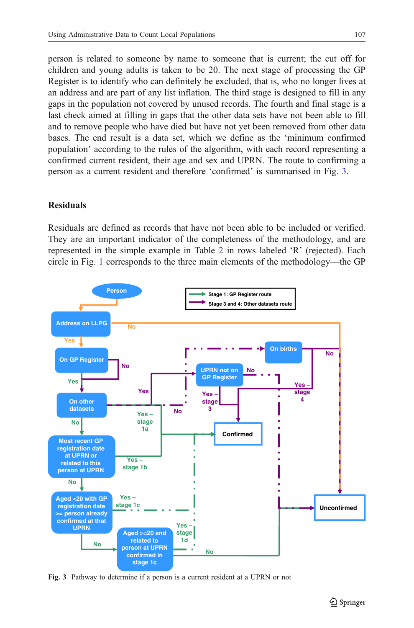person is related to someone by name to someone that is current; the cut off for children and young adults is taken to be 20. The next stage of processing the GP Register is to identify who can definitely be excluded, that is, who no longer lives at an address and are part of any list inflation. The third stage is designed to fill in any gaps in the population not covered by unused records. The fourth and final stage is a last check aimed at filling in gaps that the other data sets have not been able to fill and to remove people who have died but have not yet been removed from other data bases. The end result is a data set, which we define as the 'minimum confirmed population' according to the rules of the algorithm, with each record representing a confirmed current resident, their age and sex and UPRN. The route to confirming a person as a current resident and therefore 'confirmed' is summarised in Fig. 3.

#### Residuals

Residuals are defined as records that have not been able to be included or verified. They are an important indicator of the completeness of the methodology, and are represented in the simple example in Table [2](#page-10-0) in rows labeled 'R' (rejected). Each circle in Fig. [1](#page-9-0) corresponds to the three main elements of the methodology—the GP



Fig. 3 Pathway to determine if a person is a current resident at a UPRN or not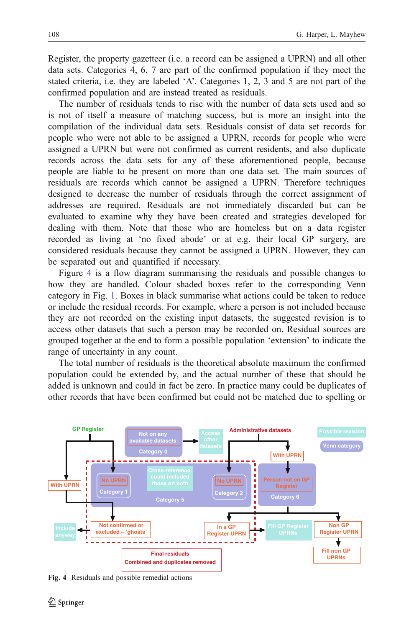Register, the property gazetteer (i.e. a record can be assigned a UPRN) and all other data sets. Categories 4, 6, 7 are part of the confirmed population if they meet the stated criteria, i.e. they are labeled 'A'. Categories 1, 2, 3 and 5 are not part of the confirmed population and are instead treated as residuals.

The number of residuals tends to rise with the number of data sets used and so is not of itself a measure of matching success, but is more an insight into the compilation of the individual data sets. Residuals consist of data set records for people who were not able to be assigned a UPRN, records for people who were assigned a UPRN but were not confirmed as current residents, and also duplicate records across the data sets for any of these aforementioned people, because people are liable to be present on more than one data set. The main sources of residuals are records which cannot be assigned a UPRN. Therefore techniques designed to decrease the number of residuals through the correct assignment of addresses are required. Residuals are not immediately discarded but can be evaluated to examine why they have been created and strategies developed for dealing with them. Note that those who are homeless but on a data register recorded as living at 'no fixed abode' or at e.g. their local GP surgery, are considered residuals because they cannot be assigned a UPRN. However, they can be separated out and quantified if necessary.

Figure 4 is a flow diagram summarising the residuals and possible changes to how they are handled. Colour shaded boxes refer to the corresponding Venn category in Fig. [1](#page-9-0). Boxes in black summarise what actions could be taken to reduce or include the residual records. For example, where a person is not included because they are not recorded on the existing input datasets, the suggested revision is to access other datasets that such a person may be recorded on. Residual sources are grouped together at the end to form a possible population 'extension' to indicate the range of uncertainty in any count.

The total number of residuals is the theoretical absolute maximum the confirmed population could be extended by, and the actual number of these that should be added is unknown and could in fact be zero. In practice many could be duplicates of other records that have been confirmed but could not be matched due to spelling or



Fig. 4 Residuals and possible remedial actions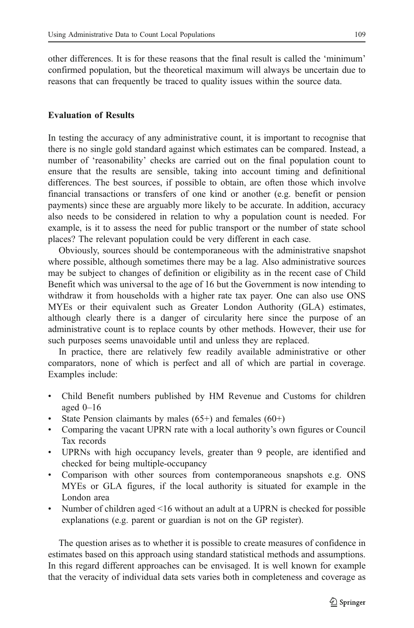other differences. It is for these reasons that the final result is called the 'minimum' confirmed population, but the theoretical maximum will always be uncertain due to reasons that can frequently be traced to quality issues within the source data.

#### Evaluation of Results

In testing the accuracy of any administrative count, it is important to recognise that there is no single gold standard against which estimates can be compared. Instead, a number of 'reasonability' checks are carried out on the final population count to ensure that the results are sensible, taking into account timing and definitional differences. The best sources, if possible to obtain, are often those which involve financial transactions or transfers of one kind or another (e.g. benefit or pension payments) since these are arguably more likely to be accurate. In addition, accuracy also needs to be considered in relation to why a population count is needed. For example, is it to assess the need for public transport or the number of state school places? The relevant population could be very different in each case.

Obviously, sources should be contemporaneous with the administrative snapshot where possible, although sometimes there may be a lag. Also administrative sources may be subject to changes of definition or eligibility as in the recent case of Child Benefit which was universal to the age of 16 but the Government is now intending to withdraw it from households with a higher rate tax payer. One can also use ONS MYEs or their equivalent such as Greater London Authority (GLA) estimates, although clearly there is a danger of circularity here since the purpose of an administrative count is to replace counts by other methods. However, their use for such purposes seems unavoidable until and unless they are replaced.

In practice, there are relatively few readily available administrative or other comparators, none of which is perfect and all of which are partial in coverage. Examples include:

- & Child Benefit numbers published by HM Revenue and Customs for children aged 0–16
- State Pension claimants by males  $(65+)$  and females  $(60+)$
- & Comparing the vacant UPRN rate with a local authority's own figures or Council Tax records
- UPRNs with high occupancy levels, greater than 9 people, are identified and checked for being multiple-occupancy
- Comparison with other sources from contemporaneous snapshots e.g. ONS MYEs or GLA figures, if the local authority is situated for example in the London area
- Number of children aged  $\leq 16$  without an adult at a UPRN is checked for possible explanations (e.g. parent or guardian is not on the GP register).

The question arises as to whether it is possible to create measures of confidence in estimates based on this approach using standard statistical methods and assumptions. In this regard different approaches can be envisaged. It is well known for example that the veracity of individual data sets varies both in completeness and coverage as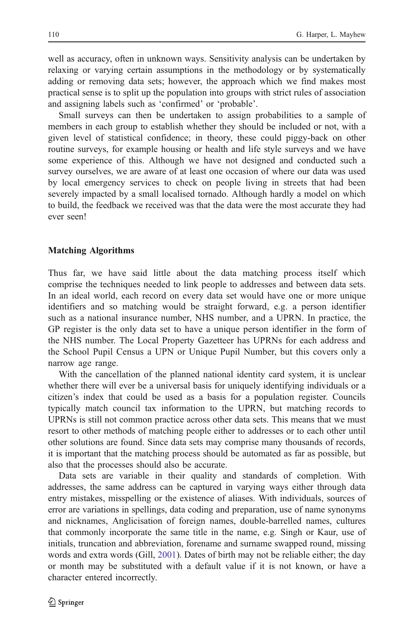well as accuracy, often in unknown ways. Sensitivity analysis can be undertaken by relaxing or varying certain assumptions in the methodology or by systematically adding or removing data sets; however, the approach which we find makes most practical sense is to split up the population into groups with strict rules of association and assigning labels such as 'confirmed' or 'probable'.

Small surveys can then be undertaken to assign probabilities to a sample of members in each group to establish whether they should be included or not, with a given level of statistical confidence; in theory, these could piggy-back on other routine surveys, for example housing or health and life style surveys and we have some experience of this. Although we have not designed and conducted such a survey ourselves, we are aware of at least one occasion of where our data was used by local emergency services to check on people living in streets that had been severely impacted by a small localised tornado. Although hardly a model on which to build, the feedback we received was that the data were the most accurate they had ever seen!

#### Matching Algorithms

Thus far, we have said little about the data matching process itself which comprise the techniques needed to link people to addresses and between data sets. In an ideal world, each record on every data set would have one or more unique identifiers and so matching would be straight forward, e.g. a person identifier such as a national insurance number, NHS number, and a UPRN. In practice, the GP register is the only data set to have a unique person identifier in the form of the NHS number. The Local Property Gazetteer has UPRNs for each address and the School Pupil Census a UPN or Unique Pupil Number, but this covers only a narrow age range.

With the cancellation of the planned national identity card system, it is unclear whether there will ever be a universal basis for uniquely identifying individuals or a citizen's index that could be used as a basis for a population register. Councils typically match council tax information to the UPRN, but matching records to UPRNs is still not common practice across other data sets. This means that we must resort to other methods of matching people either to addresses or to each other until other solutions are found. Since data sets may comprise many thousands of records, it is important that the matching process should be automated as far as possible, but also that the processes should also be accurate.

Data sets are variable in their quality and standards of completion. With addresses, the same address can be captured in varying ways either through data entry mistakes, misspelling or the existence of aliases. With individuals, sources of error are variations in spellings, data coding and preparation, use of name synonyms and nicknames, Anglicisation of foreign names, double-barrelled names, cultures that commonly incorporate the same title in the name, e.g. Singh or Kaur, use of initials, truncation and abbreviation, forename and surname swapped round, missing words and extra words (Gill, [2001](#page-25-0)). Dates of birth may not be reliable either; the day or month may be substituted with a default value if it is not known, or have a character entered incorrectly.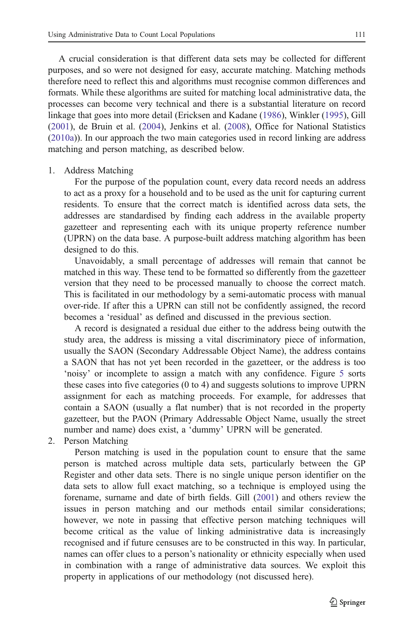A crucial consideration is that different data sets may be collected for different purposes, and so were not designed for easy, accurate matching. Matching methods therefore need to reflect this and algorithms must recognise common differences and formats. While these algorithms are suited for matching local administrative data, the processes can become very technical and there is a substantial literature on record linkage that goes into more detail (Ericksen and Kadane ([1986\)](#page-25-0), Winkler ([1995\)](#page-26-0), Gill [\(2001](#page-25-0)), de Bruin et al. ([2004\)](#page-25-0), Jenkins et al. [\(2008](#page-26-0)), Office for National Statistics [\(2010a\)](#page-26-0)). In our approach the two main categories used in record linking are address matching and person matching, as described below.

#### 1. Address Matching

For the purpose of the population count, every data record needs an address to act as a proxy for a household and to be used as the unit for capturing current residents. To ensure that the correct match is identified across data sets, the addresses are standardised by finding each address in the available property gazetteer and representing each with its unique property reference number (UPRN) on the data base. A purpose-built address matching algorithm has been designed to do this.

Unavoidably, a small percentage of addresses will remain that cannot be matched in this way. These tend to be formatted so differently from the gazetteer version that they need to be processed manually to choose the correct match. This is facilitated in our methodology by a semi-automatic process with manual over-ride. If after this a UPRN can still not be confidently assigned, the record becomes a 'residual' as defined and discussed in the previous section.

A record is designated a residual due either to the address being outwith the study area, the address is missing a vital discriminatory piece of information, usually the SAON (Secondary Addressable Object Name), the address contains a SAON that has not yet been recorded in the gazetteer, or the address is too 'noisy' or incomplete to assign a match with any confidence. Figure [5](#page-16-0) sorts these cases into five categories (0 to 4) and suggests solutions to improve UPRN assignment for each as matching proceeds. For example, for addresses that contain a SAON (usually a flat number) that is not recorded in the property gazetteer, but the PAON (Primary Addressable Object Name, usually the street number and name) does exist, a 'dummy' UPRN will be generated.

2. Person Matching

Person matching is used in the population count to ensure that the same person is matched across multiple data sets, particularly between the GP Register and other data sets. There is no single unique person identifier on the data sets to allow full exact matching, so a technique is employed using the forename, surname and date of birth fields. Gill [\(2001](#page-25-0)) and others review the issues in person matching and our methods entail similar considerations; however, we note in passing that effective person matching techniques will become critical as the value of linking administrative data is increasingly recognised and if future censuses are to be constructed in this way. In particular, names can offer clues to a person's nationality or ethnicity especially when used in combination with a range of administrative data sources. We exploit this property in applications of our methodology (not discussed here).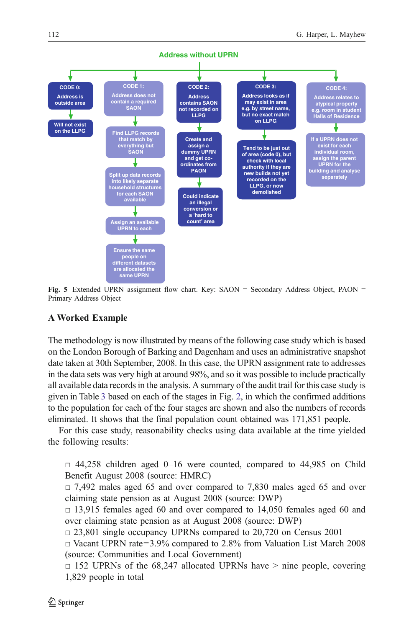<span id="page-16-0"></span>

Fig. 5 Extended UPRN assignment flow chart. Key:  $SAON =$  Secondary Address Object, PAON = Primary Address Object

#### A Worked Example

The methodology is now illustrated by means of the following case study which is based on the London Borough of Barking and Dagenham and uses an administrative snapshot date taken at 30th September, 2008. In this case, the UPRN assignment rate to addresses in the data sets was very high at around 98%, and so it was possible to include practically all available data records in the analysis. A summary of the audit trail for this case study is given in Table [3](#page-17-0) based on each of the stages in Fig. [2,](#page-10-0) in which the confirmed additions to the population for each of the four stages are shown and also the numbers of records eliminated. It shows that the final population count obtained was 171,851 people.

For this case study, reasonability checks using data available at the time yielded the following results:

 $\Box$  44,258 children aged 0–16 were counted, compared to 44,985 on Child Benefit August 2008 (source: HMRC)

 $\Box$  7,492 males aged 65 and over compared to 7,830 males aged 65 and over claiming state pension as at August 2008 (source: DWP)

 $\Box$  13,915 females aged 60 and over compared to 14,050 females aged 60 and over claiming state pension as at August 2008 (source: DWP)

 $\Box$  23,801 single occupancy UPRNs compared to 20,720 on Census 2001

 $\Box$  Vacant UPRN rate=3.9% compared to 2.8% from Valuation List March 2008 (source: Communities and Local Government)

 $\Box$  152 UPRNs of the 68,247 allocated UPRNs have  $>$  nine people, covering 1,829 people in total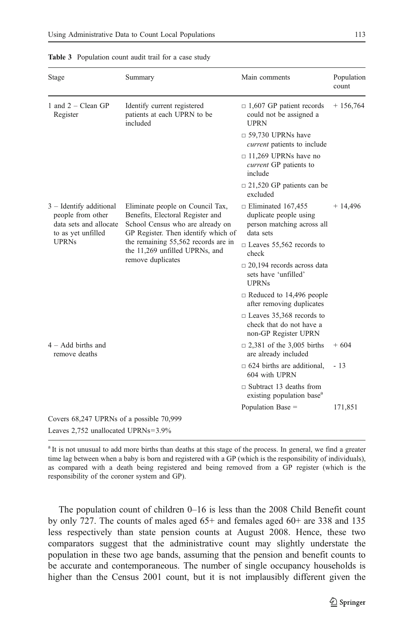| Stage                                                                                                          | Summary                                                                                                                                                                                                                                       | Main comments                                                                                  | Population<br>count |  |
|----------------------------------------------------------------------------------------------------------------|-----------------------------------------------------------------------------------------------------------------------------------------------------------------------------------------------------------------------------------------------|------------------------------------------------------------------------------------------------|---------------------|--|
| 1 and $2 -$ Clean GP<br>Register                                                                               | Identify current registered<br>patients at each UPRN to be<br>included                                                                                                                                                                        | $\Box$ 1,607 GP patient records<br>could not be assigned a<br><b>UPRN</b>                      | $+156,764$          |  |
|                                                                                                                |                                                                                                                                                                                                                                               | $\Box$ 59,730 UPRNs have<br>current patients to include                                        |                     |  |
|                                                                                                                |                                                                                                                                                                                                                                               | $\Box$ 11,269 UPRNs have no<br>current GP patients to<br>include                               |                     |  |
|                                                                                                                |                                                                                                                                                                                                                                               | $\Box$ 21,520 GP patients can be<br>excluded                                                   |                     |  |
| $3 -$ Identify additional<br>people from other<br>data sets and allocate<br>to as yet unfilled<br><b>UPRNs</b> | Eliminate people on Council Tax,<br>Benefits, Electoral Register and<br>School Census who are already on<br>GP Register. Then identify which of<br>the remaining 55,562 records are in<br>the 11,269 unfilled UPRNs, and<br>remove duplicates | $\Box$ Eliminated 167,455<br>duplicate people using<br>person matching across all<br>data sets | $+14,496$           |  |
|                                                                                                                |                                                                                                                                                                                                                                               | $\Box$ Leaves 55,562 records to<br>check                                                       |                     |  |
|                                                                                                                |                                                                                                                                                                                                                                               | $\Box$ 20,194 records across data<br>sets have 'unfilled'<br><b>UPRNs</b>                      |                     |  |
|                                                                                                                |                                                                                                                                                                                                                                               | $\Box$ Reduced to 14,496 people<br>after removing duplicates                                   |                     |  |
|                                                                                                                |                                                                                                                                                                                                                                               | $\Box$ Leaves 35,368 records to<br>check that do not have a<br>non-GP Register UPRN            |                     |  |
| $4 - Add$ births and<br>remove deaths                                                                          |                                                                                                                                                                                                                                               | $\Box$ 2,381 of the 3,005 births<br>are already included                                       | $+604$              |  |
|                                                                                                                |                                                                                                                                                                                                                                               | $\Box$ 624 births are additional,<br>604 with UPRN                                             | $-13$               |  |
|                                                                                                                |                                                                                                                                                                                                                                               | $\Box$ Subtract 13 deaths from<br>existing population base <sup>a</sup>                        |                     |  |
|                                                                                                                |                                                                                                                                                                                                                                               | Population Base =                                                                              | 171,851             |  |
| Covers 68,247 UPRNs of a possible 70,999                                                                       |                                                                                                                                                                                                                                               |                                                                                                |                     |  |
| Leaves 2,752 unallocated UPRNs=3.9%                                                                            |                                                                                                                                                                                                                                               |                                                                                                |                     |  |

<span id="page-17-0"></span>Table 3 Population count audit trail for a case study

<sup>a</sup> It is not unusual to add more births than deaths at this stage of the process. In general, we find a greater time lag between when a baby is born and registered with a GP (which is the responsibility of individuals), as compared with a death being registered and being removed from a GP register (which is the responsibility of the coroner system and GP).

The population count of children 0–16 is less than the 2008 Child Benefit count by only 727. The counts of males aged 65+ and females aged 60+ are 338 and 135 less respectively than state pension counts at August 2008. Hence, these two comparators suggest that the administrative count may slightly understate the population in these two age bands, assuming that the pension and benefit counts to be accurate and contemporaneous. The number of single occupancy households is higher than the Census 2001 count, but it is not implausibly different given the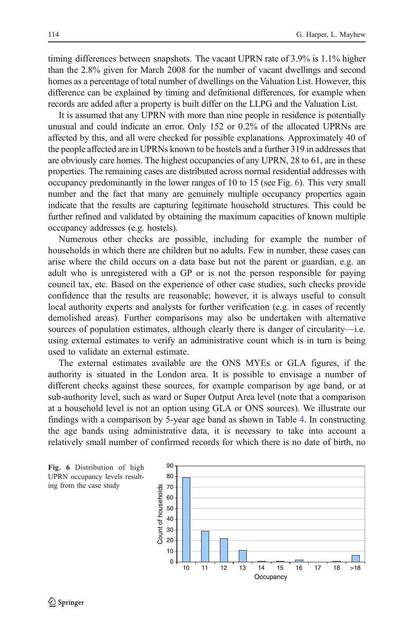timing differences between snapshots. The vacant UPRN rate of 3.9% is 1.1% higher than the 2.8% given for March 2008 for the number of vacant dwellings and second homes as a percentage of total number of dwellings on the Valuation List. However, this difference can be explained by timing and definitional differences, for example when records are added after a property is built differ on the LLPG and the Valuation List.

It is assumed that any UPRN with more than nine people in residence is potentially unusual and could indicate an error. Only 152 or 0.2% of the allocated UPRNs are affected by this, and all were checked for possible explanations. Approximately 40 of the people affected are in UPRNs known to be hostels and a further 319 in addresses that are obviously care homes. The highest occupancies of any UPRN, 28 to 61, are in these properties. The remaining cases are distributed across normal residential addresses with occupancy predominantly in the lower ranges of 10 to 15 (see Fig. 6). This very small number and the fact that many are genuinely multiple occupancy properties again indicate that the results are capturing legitimate household structures. This could be further refined and validated by obtaining the maximum capacities of known multiple occupancy addresses (e.g. hostels).

Numerous other checks are possible, including for example the number of households in which there are children but no adults. Few in number, these cases can arise where the child occurs on a data base but not the parent or guardian, e.g. an adult who is unregistered with a GP or is not the person responsible for paying council tax, etc. Based on the experience of other case studies, such checks provide confidence that the results are reasonable; however, it is always useful to consult local authority experts and analysts for further verification (e.g. in cases of recently demolished areas). Further comparisons may also be undertaken with alternative sources of population estimates, although clearly there is danger of circularity—i.e. using external estimates to verify an administrative count which is in turn is being used to validate an external estimate.

The external estimates available are the ONS MYEs or GLA figures, if the authority is situated in the London area. It is possible to envisage a number of different checks against these sources, for example comparison by age band, or at sub-authority level, such as ward or Super Output Area level (note that a comparison at a household level is not an option using GLA or ONS sources). We illustrate our findings with a comparison by 5-year age band as shown in Table [4](#page-19-0). In constructing the age bands using administrative data, it is necessary to take into account a relatively small number of confirmed records for which there is no date of birth, no

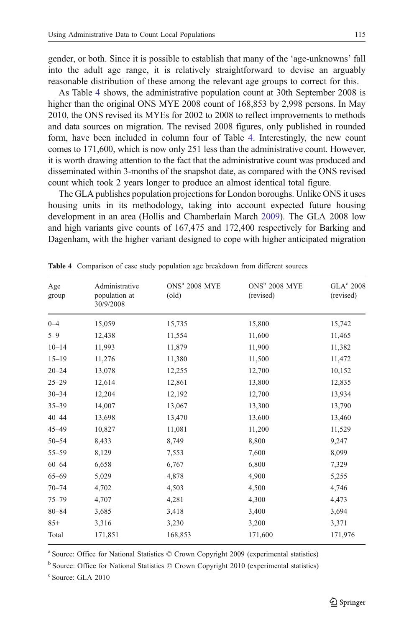<span id="page-19-0"></span>gender, or both. Since it is possible to establish that many of the 'age-unknowns' fall into the adult age range, it is relatively straightforward to devise an arguably reasonable distribution of these among the relevant age groups to correct for this.

As Table 4 shows, the administrative population count at 30th September 2008 is higher than the original ONS MYE 2008 count of 168,853 by 2,998 persons. In May 2010, the ONS revised its MYEs for 2002 to 2008 to reflect improvements to methods and data sources on migration. The revised 2008 figures, only published in rounded form, have been included in column four of Table 4. Interestingly, the new count comes to 171,600, which is now only 251 less than the administrative count. However, it is worth drawing attention to the fact that the administrative count was produced and disseminated within 3-months of the snapshot date, as compared with the ONS revised count which took 2 years longer to produce an almost identical total figure.

The GLA publishes population projections for London boroughs. Unlike ONS it uses housing units in its methodology, taking into account expected future housing development in an area (Hollis and Chamberlain March [2009](#page-26-0)). The GLA 2008 low and high variants give counts of 167,475 and 172,400 respectively for Barking and Dagenham, with the higher variant designed to cope with higher anticipated migration

| Age<br>group | Administrative<br>population at<br>30/9/2008 | ONS <sup>a</sup> 2008 MYE<br>$\text{(old)}$ | $ONSb$ 2008 MYE<br>(revised) | <b>GLA</b> <sup>c</sup> 2008<br>(revised) |
|--------------|----------------------------------------------|---------------------------------------------|------------------------------|-------------------------------------------|
| $0 - 4$      | 15,059                                       | 15,735                                      | 15,800                       | 15,742                                    |
| $5 - 9$      | 12,438                                       | 11,554                                      | 11,600                       | 11,465                                    |
| $10 - 14$    | 11,993                                       | 11,879                                      | 11,900                       | 11,382                                    |
| $15 - 19$    | 11,276                                       | 11,380                                      | 11,500                       | 11,472                                    |
| $20 - 24$    | 13,078                                       | 12,255                                      | 12,700                       | 10,152                                    |
| $25 - 29$    | 12,614                                       | 12,861                                      | 13,800                       | 12,835                                    |
| $30 - 34$    | 12,204                                       | 12,192                                      | 12,700                       | 13,934                                    |
| $35 - 39$    | 14,007                                       | 13,067                                      | 13,300                       | 13,790                                    |
| $40 - 44$    | 13,698                                       | 13,470                                      | 13,600                       | 13,460                                    |
| $45 - 49$    | 10,827                                       | 11,081                                      | 11,200                       | 11,529                                    |
| $50 - 54$    | 8,433                                        | 8,749                                       | 8,800                        | 9,247                                     |
| $55 - 59$    | 8,129                                        | 7,553                                       | 7,600                        | 8,099                                     |
| $60 - 64$    | 6,658                                        | 6,767                                       | 6,800                        | 7,329                                     |
| $65 - 69$    | 5,029                                        | 4,878                                       | 4,900                        | 5,255                                     |
| $70 - 74$    | 4,702                                        | 4,503                                       | 4,500                        | 4,746                                     |
| $75 - 79$    | 4,707                                        | 4,281                                       | 4,300                        | 4,473                                     |
| $80 - 84$    | 3,685                                        | 3,418                                       | 3,400                        | 3,694                                     |
| $85+$        | 3,316                                        | 3,230                                       | 3,200                        | 3,371                                     |
| Total        | 171,851                                      | 168,853                                     | 171,600                      | 171,976                                   |

Table 4 Comparison of case study population age breakdown from different sources

<sup>a</sup> Source: Office for National Statistics © Crown Copyright 2009 (experimental statistics)

<sup>b</sup> Source: Office for National Statistics © Crown Copyright 2010 (experimental statistics)

<sup>c</sup> Source: GLA 2010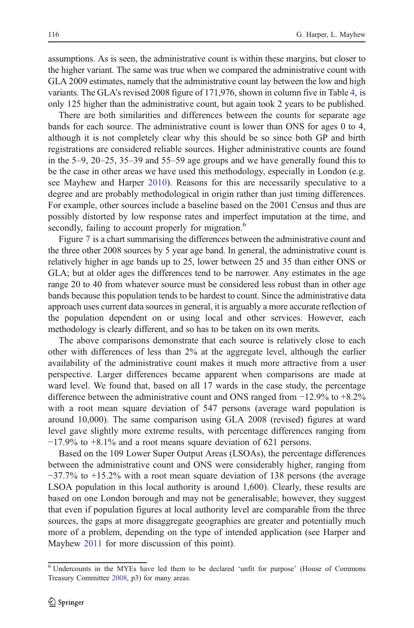assumptions. As is seen, the administrative count is within these margins, but closer to the higher variant. The same was true when we compared the administrative count with GLA 2009 estimates, namely that the administrative count lay between the low and high variants. The GLA's revised 2008 figure of 171,976, shown in column five in Table [4,](#page-19-0) is only 125 higher than the administrative count, but again took 2 years to be published.

There are both similarities and differences between the counts for separate age bands for each source. The administrative count is lower than ONS for ages 0 to 4, although it is not completely clear why this should be so since both GP and birth registrations are considered reliable sources. Higher administrative counts are found in the 5–9, 20–25, 35–39 and 55–59 age groups and we have generally found this to be the case in other areas we have used this methodology, especially in London (e.g. see Mayhew and Harper [2010](#page-26-0)). Reasons for this are necessarily speculative to a degree and are probably methodological in origin rather than just timing differences. For example, other sources include a baseline based on the 2001 Census and thus are possibly distorted by low response rates and imperfect imputation at the time, and secondly, failing to account properly for migration.<sup>6</sup>

Figure [7](#page-21-0) is a chart summarising the differences between the administrative count and the three other 2008 sources by 5 year age band. In general, the administrative count is relatively higher in age bands up to 25, lower between 25 and 35 than either ONS or GLA; but at older ages the differences tend to be narrower. Any estimates in the age range 20 to 40 from whatever source must be considered less robust than in other age bands because this population tends to be hardest to count. Since the administrative data approach uses current data sources in general, it is arguably a more accurate reflection of the population dependent on or using local and other services. However, each methodology is clearly different, and so has to be taken on its own merits.

The above comparisons demonstrate that each source is relatively close to each other with differences of less than 2% at the aggregate level, although the earlier availability of the administrative count makes it much more attractive from a user perspective. Larger differences became apparent when comparisons are made at ward level. We found that, based on all 17 wards in the case study, the percentage difference between the administrative count and ONS ranged from −12.9% to +8.2% with a root mean square deviation of 547 persons (average ward population is around 10,000). The same comparison using GLA 2008 (revised) figures at ward level gave slightly more extreme results, with percentage differences ranging from −17.9% to +8.1% and a root means square deviation of 621 persons.

Based on the 109 Lower Super Output Areas (LSOAs), the percentage differences between the administrative count and ONS were considerably higher, ranging from −37.7% to +15.2% with a root mean square deviation of 138 persons (the average LSOA population in this local authority is around 1,600). Clearly, these results are based on one London borough and may not be generalisable; however, they suggest that even if population figures at local authority level are comparable from the three sources, the gaps at more disaggregate geographies are greater and potentially much more of a problem, depending on the type of intended application (see Harper and Mayhew [2011](#page-26-0) for more discussion of this point).

<sup>6</sup> Undercounts in the MYEs have led them to be declared 'unfit for purpose' (House of Commons Treasury Committee [2008,](#page-26-0) p3) for many areas.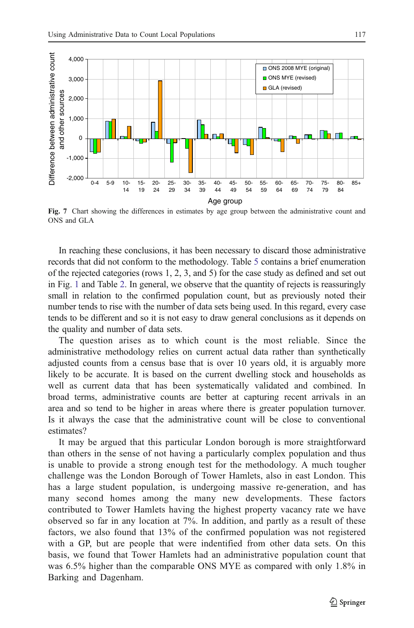<span id="page-21-0"></span>

Fig. 7 Chart showing the differences in estimates by age group between the administrative count and ONS and GLA

In reaching these conclusions, it has been necessary to discard those administrative records that did not conform to the methodology. Table [5](#page-22-0) contains a brief enumeration of the rejected categories (rows 1, 2, 3, and 5) for the case study as defined and set out in Fig. [1](#page-9-0) and Table [2](#page-10-0). In general, we observe that the quantity of rejects is reassuringly small in relation to the confirmed population count, but as previously noted their number tends to rise with the number of data sets being used. In this regard, every case tends to be different and so it is not easy to draw general conclusions as it depends on the quality and number of data sets.

The question arises as to which count is the most reliable. Since the administrative methodology relies on current actual data rather than synthetically adjusted counts from a census base that is over 10 years old, it is arguably more likely to be accurate. It is based on the current dwelling stock and households as well as current data that has been systematically validated and combined. In broad terms, administrative counts are better at capturing recent arrivals in an area and so tend to be higher in areas where there is greater population turnover. Is it always the case that the administrative count will be close to conventional estimates?

It may be argued that this particular London borough is more straightforward than others in the sense of not having a particularly complex population and thus is unable to provide a strong enough test for the methodology. A much tougher challenge was the London Borough of Tower Hamlets, also in east London. This has a large student population, is undergoing massive re-generation, and has many second homes among the many new developments. These factors contributed to Tower Hamlets having the highest property vacancy rate we have observed so far in any location at 7%. In addition, and partly as a result of these factors, we also found that 13% of the confirmed population was not registered with a GP, but are people that were indentified from other data sets. On this basis, we found that Tower Hamlets had an administrative population count that was 6.5% higher than the comparable ONS MYE as compared with only 1.8% in Barking and Dagenham.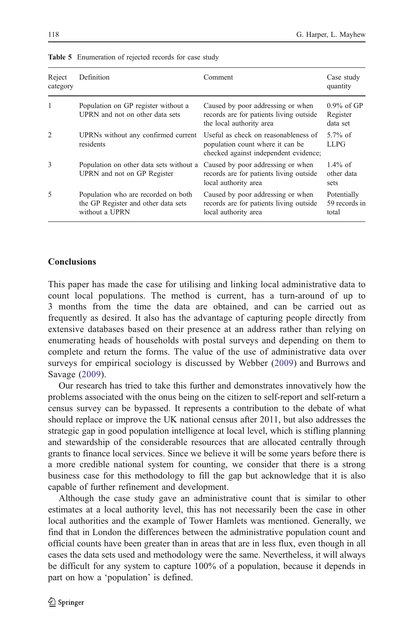| Reject<br>category | Definition                                                                                   | Comment                                                                                                           | Case study<br>quantity                |
|--------------------|----------------------------------------------------------------------------------------------|-------------------------------------------------------------------------------------------------------------------|---------------------------------------|
| 1                  | Population on GP register without a<br>UPRN and not on other data sets                       | Caused by poor addressing or when<br>records are for patients living outside<br>the local authority area          | $0.9\%$ of GP<br>Register<br>data set |
| $\overline{2}$     | UPRNs without any confirmed current<br>residents                                             | Useful as check on reasonableness of<br>population count where it can be<br>checked against independent evidence; | $5.7\%$ of<br>LLPG                    |
| 3                  | Population on other data sets without a<br>UPRN and not on GP Register                       | Caused by poor addressing or when<br>records are for patients living outside<br>local authority area              | $1.4\%$ of<br>other data<br>sets      |
| 5                  | Population who are recorded on both<br>the GP Register and other data sets<br>without a UPRN | Caused by poor addressing or when<br>records are for patients living outside<br>local authority area              | Potentially<br>59 records in<br>total |

<span id="page-22-0"></span>Table 5 Enumeration of rejected records for case study

#### Conclusions

This paper has made the case for utilising and linking local administrative data to count local populations. The method is current, has a turn-around of up to 3 months from the time the data are obtained, and can be carried out as frequently as desired. It also has the advantage of capturing people directly from extensive databases based on their presence at an address rather than relying on enumerating heads of households with postal surveys and depending on them to complete and return the forms. The value of the use of administrative data over surveys for empirical sociology is discussed by Webber ([2009\)](#page-26-0) and Burrows and Savage ([2009](#page-25-0)).

Our research has tried to take this further and demonstrates innovatively how the problems associated with the onus being on the citizen to self-report and self-return a census survey can be bypassed. It represents a contribution to the debate of what should replace or improve the UK national census after 2011, but also addresses the strategic gap in good population intelligence at local level, which is stifling planning and stewardship of the considerable resources that are allocated centrally through grants to finance local services. Since we believe it will be some years before there is a more credible national system for counting, we consider that there is a strong business case for this methodology to fill the gap but acknowledge that it is also capable of further refinement and development.

Although the case study gave an administrative count that is similar to other estimates at a local authority level, this has not necessarily been the case in other local authorities and the example of Tower Hamlets was mentioned. Generally, we find that in London the differences between the administrative population count and official counts have been greater than in areas that are in less flux, even though in all cases the data sets used and methodology were the same. Nevertheless, it will always be difficult for any system to capture 100% of a population, because it depends in part on how a 'population' is defined.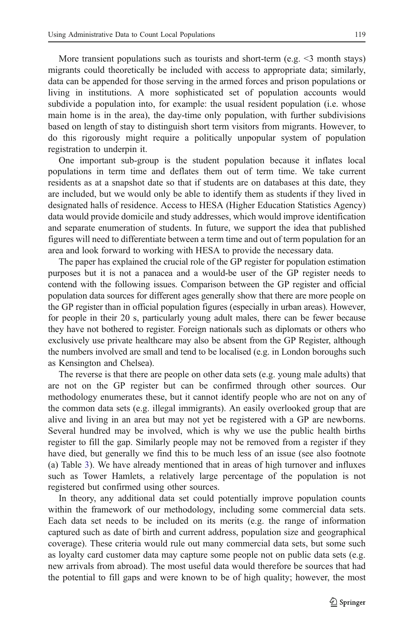More transient populations such as tourists and short-term (e.g.  $\leq$ 3 month stays) migrants could theoretically be included with access to appropriate data; similarly, data can be appended for those serving in the armed forces and prison populations or living in institutions. A more sophisticated set of population accounts would subdivide a population into, for example: the usual resident population (i.e. whose main home is in the area), the day-time only population, with further subdivisions based on length of stay to distinguish short term visitors from migrants. However, to do this rigorously might require a politically unpopular system of population registration to underpin it.

One important sub-group is the student population because it inflates local populations in term time and deflates them out of term time. We take current residents as at a snapshot date so that if students are on databases at this date, they are included, but we would only be able to identify them as students if they lived in designated halls of residence. Access to HESA (Higher Education Statistics Agency) data would provide domicile and study addresses, which would improve identification and separate enumeration of students. In future, we support the idea that published figures will need to differentiate between a term time and out of term population for an area and look forward to working with HESA to provide the necessary data.

The paper has explained the crucial role of the GP register for population estimation purposes but it is not a panacea and a would-be user of the GP register needs to contend with the following issues. Comparison between the GP register and official population data sources for different ages generally show that there are more people on the GP register than in official population figures (especially in urban areas). However, for people in their 20 s, particularly young adult males, there can be fewer because they have not bothered to register. Foreign nationals such as diplomats or others who exclusively use private healthcare may also be absent from the GP Register, although the numbers involved are small and tend to be localised (e.g. in London boroughs such as Kensington and Chelsea).

The reverse is that there are people on other data sets (e.g. young male adults) that are not on the GP register but can be confirmed through other sources. Our methodology enumerates these, but it cannot identify people who are not on any of the common data sets (e.g. illegal immigrants). An easily overlooked group that are alive and living in an area but may not yet be registered with a GP are newborns. Several hundred may be involved, which is why we use the public health births register to fill the gap. Similarly people may not be removed from a register if they have died, but generally we find this to be much less of an issue (see also footnote (a) Table [3\)](#page-17-0). We have already mentioned that in areas of high turnover and influxes such as Tower Hamlets, a relatively large percentage of the population is not registered but confirmed using other sources.

In theory, any additional data set could potentially improve population counts within the framework of our methodology, including some commercial data sets. Each data set needs to be included on its merits (e.g. the range of information captured such as date of birth and current address, population size and geographical coverage). These criteria would rule out many commercial data sets, but some such as loyalty card customer data may capture some people not on public data sets (e.g. new arrivals from abroad). The most useful data would therefore be sources that had the potential to fill gaps and were known to be of high quality; however, the most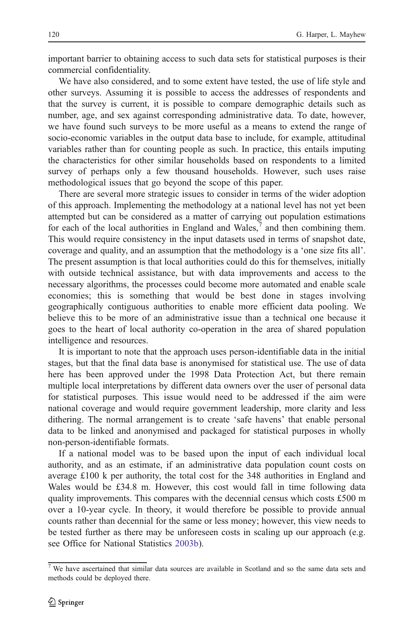important barrier to obtaining access to such data sets for statistical purposes is their commercial confidentiality.

We have also considered, and to some extent have tested, the use of life style and other surveys. Assuming it is possible to access the addresses of respondents and that the survey is current, it is possible to compare demographic details such as number, age, and sex against corresponding administrative data. To date, however, we have found such surveys to be more useful as a means to extend the range of socio-economic variables in the output data base to include, for example, attitudinal variables rather than for counting people as such. In practice, this entails imputing the characteristics for other similar households based on respondents to a limited survey of perhaps only a few thousand households. However, such uses raise methodological issues that go beyond the scope of this paper.

There are several more strategic issues to consider in terms of the wider adoption of this approach. Implementing the methodology at a national level has not yet been attempted but can be considered as a matter of carrying out population estimations for each of the local authorities in England and Wales,<sup>7</sup> and then combining them. This would require consistency in the input datasets used in terms of snapshot date, coverage and quality, and an assumption that the methodology is a 'one size fits all'. The present assumption is that local authorities could do this for themselves, initially with outside technical assistance, but with data improvements and access to the necessary algorithms, the processes could become more automated and enable scale economies; this is something that would be best done in stages involving geographically contiguous authorities to enable more efficient data pooling. We believe this to be more of an administrative issue than a technical one because it goes to the heart of local authority co-operation in the area of shared population intelligence and resources.

It is important to note that the approach uses person-identifiable data in the initial stages, but that the final data base is anonymised for statistical use. The use of data here has been approved under the 1998 Data Protection Act, but there remain multiple local interpretations by different data owners over the user of personal data for statistical purposes. This issue would need to be addressed if the aim were national coverage and would require government leadership, more clarity and less dithering. The normal arrangement is to create 'safe havens' that enable personal data to be linked and anonymised and packaged for statistical purposes in wholly non-person-identifiable formats.

If a national model was to be based upon the input of each individual local authority, and as an estimate, if an administrative data population count costs on average £100 k per authority, the total cost for the 348 authorities in England and Wales would be £34.8 m. However, this cost would fall in time following data quality improvements. This compares with the decennial census which costs £500 m over a 10-year cycle. In theory, it would therefore be possible to provide annual counts rather than decennial for the same or less money; however, this view needs to be tested further as there may be unforeseen costs in scaling up our approach (e.g. see Office for National Statistics [2003b\)](#page-26-0).

 $7$  We have ascertained that similar data sources are available in Scotland and so the same data sets and methods could be deployed there.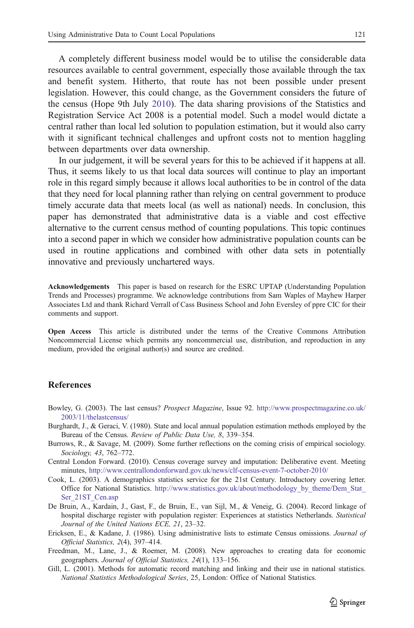<span id="page-25-0"></span>A completely different business model would be to utilise the considerable data resources available to central government, especially those available through the tax and benefit system. Hitherto, that route has not been possible under present legislation. However, this could change, as the Government considers the future of the census (Hope 9th July [2010](#page-26-0)). The data sharing provisions of the Statistics and Registration Service Act 2008 is a potential model. Such a model would dictate a central rather than local led solution to population estimation, but it would also carry with it significant technical challenges and upfront costs not to mention haggling between departments over data ownership.

In our judgement, it will be several years for this to be achieved if it happens at all. Thus, it seems likely to us that local data sources will continue to play an important role in this regard simply because it allows local authorities to be in control of the data that they need for local planning rather than relying on central government to produce timely accurate data that meets local (as well as national) needs. In conclusion, this paper has demonstrated that administrative data is a viable and cost effective alternative to the current census method of counting populations. This topic continues into a second paper in which we consider how administrative population counts can be used in routine applications and combined with other data sets in potentially innovative and previously unchartered ways.

Acknowledgements This paper is based on research for the ESRC UPTAP (Understanding Population Trends and Processes) programme. We acknowledge contributions from Sam Waples of Mayhew Harper Associates Ltd and thank Richard Verrall of Cass Business School and John Eversley of ppre CIC for their comments and support.

Open Access This article is distributed under the terms of the Creative Commons Attribution Noncommercial License which permits any noncommercial use, distribution, and reproduction in any medium, provided the original author(s) and source are credited.

#### References

- Bowley, G. (2003). The last census? Prospect Magazine, Issue 92. [http://www.prospectmagazine.co.uk/](http://www.prospectmagazine.co.uk/2003/11/thelastcensus/) [2003/11/thelastcensus/](http://www.prospectmagazine.co.uk/2003/11/thelastcensus/)
- Burghardt, J., & Geraci, V. (1980). State and local annual population estimation methods employed by the Bureau of the Census. Review of Public Data Use, 8, 339–354.
- Burrows, R., & Savage, M. (2009). Some further reflections on the coming crisis of empirical sociology. Sociology, 43, 762–772.
- Central London Forward. (2010). Census coverage survey and imputation: Deliberative event. Meeting minutes, <http://www.centrallondonforward.gov.uk/news/clf-census-event-7-october-2010/>
- Cook, L. (2003). A demographics statistics service for the 21st Century. Introductory covering letter. Office for National Statistics. [http://www.statistics.gov.uk/about/methodology\\_by\\_theme/Dem\\_Stat\\_](http://www.statistics.gov.uk/about/methodology_by_theme/Dem_Stat_Ser_21ST_Cen.asp) [Ser\\_21ST\\_Cen.asp](http://www.statistics.gov.uk/about/methodology_by_theme/Dem_Stat_Ser_21ST_Cen.asp)
- De Bruin, A., Kardain, J., Gast, F., de Bruin, E., van Sijl, M., & Veneig, G. (2004). Record linkage of hospital discharge register with population register: Experiences at statistics Netherlands. Statistical Journal of the United Nations ECE, 21, 23–32.
- Ericksen, E., & Kadane, J. (1986). Using administrative lists to estimate Census omissions. Journal of Official Statistics, 2(4), 397–414.
- Freedman, M., Lane, J., & Roemer, M. (2008). New approaches to creating data for economic geographers. Journal of Official Statistics, 24(1), 133–156.
- Gill, L. (2001). Methods for automatic record matching and linking and their use in national statistics. National Statistics Methodological Series, 25, London: Office of National Statistics.